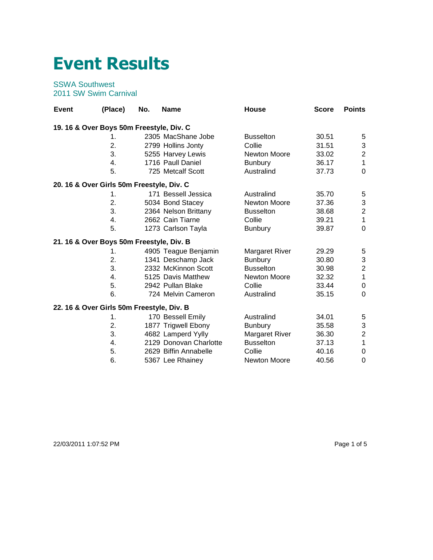## **Event Results**

## SSWA Southwest 2011 SW Swim Carnival

| Event                                     | (Place) | No. | <b>Name</b>            | <b>House</b>        | <b>Score</b> | <b>Points</b>    |
|-------------------------------------------|---------|-----|------------------------|---------------------|--------------|------------------|
| 19. 16 & Over Boys 50m Freestyle, Div. C  |         |     |                        |                     |              |                  |
|                                           | 1.      |     | 2305 MacShane Jobe     | <b>Busselton</b>    | 30.51        | 5                |
|                                           | 2.      |     | 2799 Hollins Jonty     | Collie              | 31.51        | 3                |
|                                           | 3.      |     | 5255 Harvey Lewis      | Newton Moore        | 33.02        | $\overline{c}$   |
|                                           | 4.      |     | 1716 Paull Daniel      | <b>Bunbury</b>      | 36.17        | $\mathbf{1}$     |
|                                           | 5.      |     | 725 Metcalf Scott      | Australind          | 37.73        | $\Omega$         |
| 20. 16 & Over Girls 50m Freestyle, Div. C |         |     |                        |                     |              |                  |
|                                           | 1.      |     | 171 Bessell Jessica    | Australind          | 35.70        | 5                |
|                                           | 2.      |     | 5034 Bond Stacey       | <b>Newton Moore</b> | 37.36        | 3                |
|                                           | 3.      |     | 2364 Nelson Brittany   | <b>Busselton</b>    | 38.68        | $\overline{2}$   |
|                                           | 4.      |     | 2662 Cain Tiarne       | Collie              | 39.21        | $\mathbf{1}$     |
|                                           | 5.      |     | 1273 Carlson Tayla     | <b>Bunbury</b>      | 39.87        | $\overline{0}$   |
| 21. 16 & Over Boys 50m Freestyle, Div. B  |         |     |                        |                     |              |                  |
|                                           | 1.      |     | 4905 Teague Benjamin   | Margaret River      | 29.29        | $\sqrt{5}$       |
|                                           | 2.      |     | 1341 Deschamp Jack     | <b>Bunbury</b>      | 30.80        | 3                |
|                                           | 3.      |     | 2332 McKinnon Scott    | <b>Busselton</b>    | 30.98        | $\overline{2}$   |
|                                           | 4.      |     | 5125 Davis Matthew     | <b>Newton Moore</b> | 32.32        | $\mathbf{1}$     |
|                                           | 5.      |     | 2942 Pullan Blake      | Collie              | 33.44        | $\boldsymbol{0}$ |
|                                           | 6.      |     | 724 Melvin Cameron     | Australind          | 35.15        | $\overline{0}$   |
| 22. 16 & Over Girls 50m Freestyle, Div. B |         |     |                        |                     |              |                  |
|                                           | 1.      |     | 170 Bessell Emily      | Australind          | 34.01        | 5                |
|                                           | 2.      |     | 1877 Trigwell Ebony    | <b>Bunbury</b>      | 35.58        | 3                |
|                                           | 3.      |     | 4682 Lamperd Yylly     | Margaret River      | 36.30        | $\overline{c}$   |
|                                           | 4.      |     | 2129 Donovan Charlotte | <b>Busselton</b>    | 37.13        | $\mathbf{1}$     |
|                                           | 5.      |     | 2629 Biffin Annabelle  | Collie              | 40.16        | $\pmb{0}$        |
|                                           | 6.      |     | 5367 Lee Rhainey       | <b>Newton Moore</b> | 40.56        | 0                |

22/03/2011 1:07:52 PM Page 1 of 5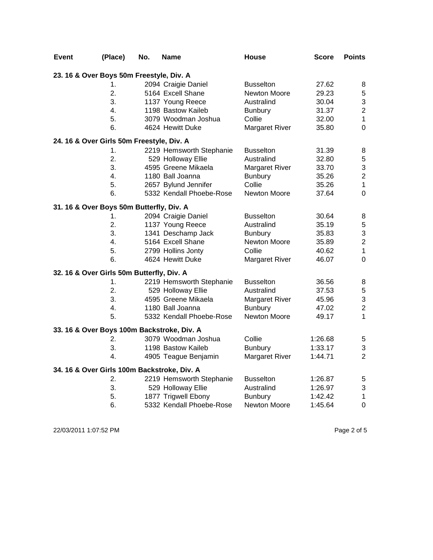| <b>Event</b>                                | (Place) | No. | Name                     | <b>House</b>          | Score   | <b>Points</b>           |
|---------------------------------------------|---------|-----|--------------------------|-----------------------|---------|-------------------------|
| 23. 16 & Over Boys 50m Freestyle, Div. A    |         |     |                          |                       |         |                         |
|                                             | 1.      |     | 2094 Craigie Daniel      | <b>Busselton</b>      | 27.62   | 8                       |
|                                             | 2.      |     | 5164 Excell Shane        | Newton Moore          | 29.23   | 5                       |
|                                             | 3.      |     | 1137 Young Reece         | Australind            | 30.04   | 3                       |
|                                             | 4.      |     | 1198 Bastow Kaileb       | <b>Bunbury</b>        | 31.37   | $\overline{c}$          |
|                                             | 5.      |     | 3079 Woodman Joshua      | Collie                | 32.00   | $\mathbf{1}$            |
|                                             | 6.      |     | 4624 Hewitt Duke         | <b>Margaret River</b> | 35.80   | $\mathbf 0$             |
| 24. 16 & Over Girls 50m Freestyle, Div. A   |         |     |                          |                       |         |                         |
|                                             | 1.      |     | 2219 Hemsworth Stephanie | <b>Busselton</b>      | 31.39   | 8                       |
|                                             | 2.      |     | 529 Holloway Ellie       | Australind            | 32.80   | $\sqrt{5}$              |
|                                             | 3.      |     | 4595 Greene Mikaela      | Margaret River        | 33.70   | 3                       |
|                                             | 4.      |     | 1180 Ball Joanna         | <b>Bunbury</b>        | 35.26   | $\overline{c}$          |
|                                             | 5.      |     | 2657 Bylund Jennifer     | Collie                | 35.26   | $\mathbf 1$             |
|                                             | 6.      |     | 5332 Kendall Phoebe-Rose | Newton Moore          | 37.64   | $\mathbf 0$             |
| 31. 16 & Over Boys 50m Butterfly, Div. A    |         |     |                          |                       |         |                         |
|                                             | 1.      |     | 2094 Craigie Daniel      | <b>Busselton</b>      | 30.64   | 8                       |
|                                             | 2.      |     | 1137 Young Reece         | Australind            | 35.19   | 5                       |
|                                             | 3.      |     | 1341 Deschamp Jack       | <b>Bunbury</b>        | 35.83   | 3                       |
|                                             | 4.      |     | 5164 Excell Shane        | Newton Moore          | 35.89   | $\overline{\mathbf{c}}$ |
|                                             | 5.      |     | 2799 Hollins Jonty       | Collie                | 40.62   | $\mathbf 1$             |
|                                             | 6.      |     | 4624 Hewitt Duke         | <b>Margaret River</b> | 46.07   | $\mathbf 0$             |
| 32. 16 & Over Girls 50m Butterfly, Div. A   |         |     |                          |                       |         |                         |
|                                             | 1.      |     | 2219 Hemsworth Stephanie | <b>Busselton</b>      | 36.56   | 8                       |
|                                             | 2.      |     | 529 Holloway Ellie       | Australind            | 37.53   | $\mathbf 5$             |
|                                             | 3.      |     | 4595 Greene Mikaela      | <b>Margaret River</b> | 45.96   | 3                       |
|                                             | 4.      |     | 1180 Ball Joanna         | <b>Bunbury</b>        | 47.02   | $\overline{2}$          |
|                                             | 5.      |     | 5332 Kendall Phoebe-Rose | Newton Moore          | 49.17   | $\mathbf{1}$            |
| 33. 16 & Over Boys 100m Backstroke, Div. A  |         |     |                          |                       |         |                         |
|                                             | 2.      |     | 3079 Woodman Joshua      | Collie                | 1:26.68 | $\mathbf 5$             |
|                                             | 3.      |     | 1198 Bastow Kaileb       | <b>Bunbury</b>        | 1:33.17 | 3                       |
|                                             | 4.      |     | 4905 Teague Benjamin     | <b>Margaret River</b> | 1:44.71 | $\overline{2}$          |
| 34. 16 & Over Girls 100m Backstroke, Div. A |         |     |                          |                       |         |                         |
|                                             | 2.      |     | 2219 Hemsworth Stephanie | <b>Busselton</b>      | 1:26.87 | 5                       |
|                                             | 3.      |     | 529 Holloway Ellie       | Australind            | 1:26.97 | 3                       |
|                                             | 5.      |     | 1877 Trigwell Ebony      | <b>Bunbury</b>        | 1:42.42 | $\mathbf{1}$            |
|                                             | 6.      |     | 5332 Kendall Phoebe-Rose | Newton Moore          | 1:45.64 | $\mathbf 0$             |

22/03/2011 1:07:52 PM Page 2 of 5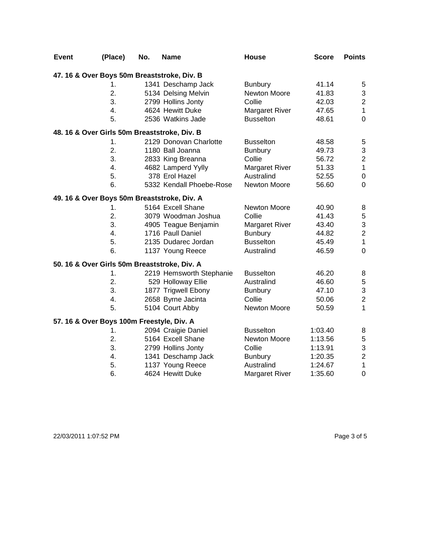| <b>Event</b> | (Place)                                      | No. | <b>Name</b>                                 | House                 | <b>Score</b> | <b>Points</b>           |
|--------------|----------------------------------------------|-----|---------------------------------------------|-----------------------|--------------|-------------------------|
|              |                                              |     | 47. 16 & Over Boys 50m Breaststroke, Div. B |                       |              |                         |
|              | 1.                                           |     | 1341 Deschamp Jack                          | <b>Bunbury</b>        | 41.14        | 5                       |
|              | 2.                                           |     | 5134 Delsing Melvin                         | Newton Moore          | 41.83        | 3                       |
|              | 3.                                           |     | 2799 Hollins Jonty                          | Collie                | 42.03        | $\overline{\mathbf{c}}$ |
|              | 4.                                           |     | 4624 Hewitt Duke                            | <b>Margaret River</b> | 47.65        | $\mathbf 1$             |
|              | 5.                                           |     | 2536 Watkins Jade                           | <b>Busselton</b>      | 48.61        | $\mathbf 0$             |
|              | 48. 16 & Over Girls 50m Breaststroke, Div. B |     |                                             |                       |              |                         |
|              | 1.                                           |     | 2129 Donovan Charlotte                      | <b>Busselton</b>      | 48.58        | 5                       |
|              | 2.                                           |     | 1180 Ball Joanna                            | <b>Bunbury</b>        | 49.73        | 3                       |
|              | 3.                                           |     | 2833 King Breanna                           | Collie                | 56.72        | $\boldsymbol{2}$        |
|              | 4.                                           |     | 4682 Lamperd Yylly                          | Margaret River        | 51.33        | $\mathbf 1$             |
|              | 5.                                           |     | 378 Erol Hazel                              | Australind            | 52.55        | $\pmb{0}$               |
|              | 6.                                           |     | 5332 Kendall Phoebe-Rose                    | Newton Moore          | 56.60        | $\mathbf 0$             |
|              |                                              |     | 49. 16 & Over Boys 50m Breaststroke, Div. A |                       |              |                         |
|              | 1.                                           |     | 5164 Excell Shane                           | Newton Moore          | 40.90        | 8                       |
|              | 2.                                           |     | 3079 Woodman Joshua                         | Collie                | 41.43        | $\,$ 5 $\,$             |
|              | 3.                                           |     | 4905 Teague Benjamin                        | <b>Margaret River</b> | 43.40        | 3                       |
|              | 4.                                           |     | 1716 Paull Daniel                           | <b>Bunbury</b>        | 44.82        | $\boldsymbol{2}$        |
|              | 5.                                           |     | 2135 Dudarec Jordan                         | <b>Busselton</b>      | 45.49        | $\mathbf{1}$            |
|              | 6.                                           |     | 1137 Young Reece                            | Australind            | 46.59        | $\mathbf 0$             |
|              | 50. 16 & Over Girls 50m Breaststroke, Div. A |     |                                             |                       |              |                         |
|              | 1.                                           |     | 2219 Hemsworth Stephanie                    | <b>Busselton</b>      | 46.20        | 8                       |
|              | 2.                                           |     | 529 Holloway Ellie                          | Australind            | 46.60        | $\mathbf 5$             |
|              | 3.                                           |     | 1877 Trigwell Ebony                         | <b>Bunbury</b>        | 47.10        | 3                       |
|              | 4.                                           |     | 2658 Byrne Jacinta                          | Collie                | 50.06        | $\overline{2}$          |
|              | 5.                                           |     | 5104 Court Abby                             | Newton Moore          | 50.59        | $\mathbf{1}$            |
|              | 57. 16 & Over Boys 100m Freestyle, Div. A    |     |                                             |                       |              |                         |
|              | 1.                                           |     | 2094 Craigie Daniel                         | <b>Busselton</b>      | 1:03.40      | 8                       |
|              | 2.                                           |     | 5164 Excell Shane                           | Newton Moore          | 1:13.56      | $\sqrt{5}$              |
|              | 3.                                           |     | 2799 Hollins Jonty                          | Collie                | 1:13.91      | 3                       |
|              | 4.                                           |     | 1341 Deschamp Jack                          | <b>Bunbury</b>        | 1:20.35      | $\overline{c}$          |
|              | 5.                                           |     | 1137 Young Reece                            | Australind            | 1:24.67      | $\mathbf{1}$            |
|              | 6.                                           |     | 4624 Hewitt Duke                            | <b>Margaret River</b> | 1:35.60      | $\mathbf 0$             |

22/03/2011 1:07:52 PM Page 3 of 5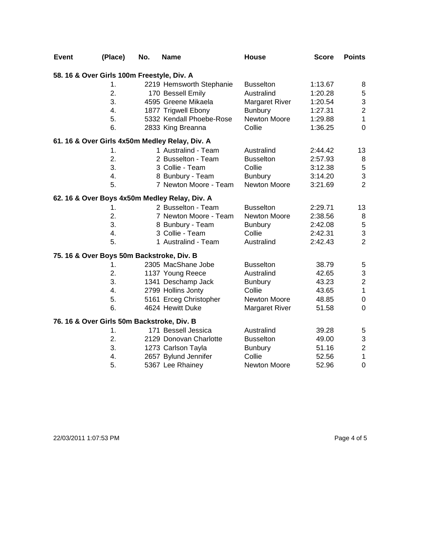| <b>Event</b> | (Place)                                    | No. | <b>Name</b>                                    | House                 | <b>Score</b> | <b>Points</b>             |
|--------------|--------------------------------------------|-----|------------------------------------------------|-----------------------|--------------|---------------------------|
|              | 58. 16 & Over Girls 100m Freestyle, Div. A |     |                                                |                       |              |                           |
|              | 1.                                         |     | 2219 Hemsworth Stephanie                       | <b>Busselton</b>      | 1:13.67      | 8                         |
|              | 2.                                         |     | 170 Bessell Emily                              | Australind            | 1:20.28      | $\,$ 5 $\,$               |
|              | 3.                                         |     | 4595 Greene Mikaela                            | <b>Margaret River</b> | 1:20.54      | $\ensuremath{\mathsf{3}}$ |
|              | 4.                                         |     | 1877 Trigwell Ebony                            | <b>Bunbury</b>        | 1:27.31      | $\boldsymbol{2}$          |
|              | 5.                                         |     | 5332 Kendall Phoebe-Rose                       | Newton Moore          | 1:29.88      | $\mathbf{1}$              |
|              | 6.                                         |     | 2833 King Breanna                              | Collie                | 1:36.25      | $\mathbf 0$               |
|              |                                            |     | 61. 16 & Over Girls 4x50m Medley Relay, Div. A |                       |              |                           |
|              | 1.                                         |     | 1 Australind - Team                            | Australind            | 2:44.42      | 13                        |
|              | 2.                                         |     | 2 Busselton - Team                             | <b>Busselton</b>      | 2:57.93      | 8                         |
|              | 3.                                         |     | 3 Collie - Team                                | Collie                | 3:12.38      | $\mathbf 5$               |
|              | 4.                                         |     | 8 Bunbury - Team                               | Bunbury               | 3:14.20      | $\mathfrak{S}$            |
|              | 5.                                         |     | 7 Newton Moore - Team                          | Newton Moore          | 3:21.69      | $\overline{2}$            |
|              |                                            |     | 62. 16 & Over Boys 4x50m Medley Relay, Div. A  |                       |              |                           |
|              | 1.                                         |     | 2 Busselton - Team                             | <b>Busselton</b>      | 2:29.71      | 13                        |
|              | 2.                                         |     | 7 Newton Moore - Team                          | Newton Moore          | 2:38.56      | 8                         |
|              | 3.                                         |     | 8 Bunbury - Team                               | <b>Bunbury</b>        | 2:42.08      | $\mathbf 5$               |
|              | 4.                                         |     | 3 Collie - Team                                | Collie                | 2:42.31      | $\sqrt{3}$                |
|              | 5.                                         |     | 1 Australind - Team                            | Australind            | 2:42.43      | $\overline{2}$            |
|              | 75. 16 & Over Boys 50m Backstroke, Div. B  |     |                                                |                       |              |                           |
|              | 1.                                         |     | 2305 MacShane Jobe                             | <b>Busselton</b>      | 38.79        | $\mathbf 5$               |
|              | 2.                                         |     | 1137 Young Reece                               | Australind            | 42.65        | $\ensuremath{\mathsf{3}}$ |
|              | 3.                                         |     | 1341 Deschamp Jack                             | <b>Bunbury</b>        | 43.23        | $\overline{c}$            |
|              | 4.                                         |     | 2799 Hollins Jonty                             | Collie                | 43.65        | $\mathbf{1}$              |
|              | 5.                                         |     | 5161 Erceg Christopher                         | Newton Moore          | 48.85        | $\pmb{0}$                 |
|              | 6.                                         |     | 4624 Hewitt Duke                               | <b>Margaret River</b> | 51.58        | $\mathbf 0$               |
|              | 76. 16 & Over Girls 50m Backstroke, Div. B |     |                                                |                       |              |                           |
|              | 1.                                         |     | 171 Bessell Jessica                            | Australind            | 39.28        | $\mathbf 5$               |
|              | 2.                                         |     | 2129 Donovan Charlotte                         | <b>Busselton</b>      | 49.00        | 3                         |
|              | 3.                                         |     | 1273 Carlson Tayla                             | <b>Bunbury</b>        | 51.16        | $\boldsymbol{2}$          |
|              | 4.                                         |     | 2657 Bylund Jennifer                           | Collie                | 52.56        | $\mathbf{1}$              |
|              | 5.                                         |     | 5367 Lee Rhainey                               | <b>Newton Moore</b>   | 52.96        | $\boldsymbol{0}$          |

22/03/2011 1:07:53 PM Page 4 of 5